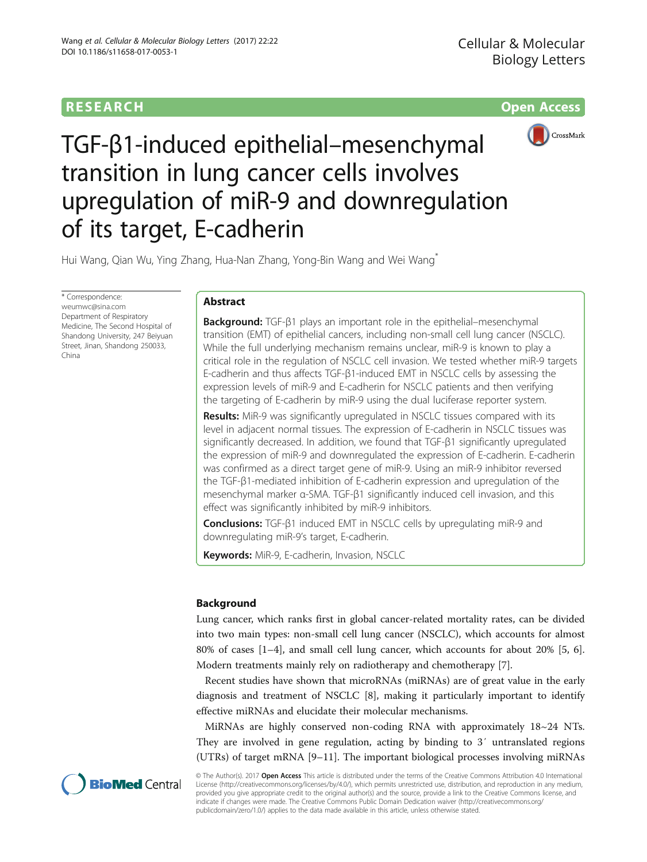# **RESEARCH CHILD CONTROL** CONTROL CONTROL CONTROL CONTROL CONTROL CONTROL CONTROL CONTROL CONTROL CONTROL CONTROL CONTROL CONTROL CONTROL CONTROL CONTROL CONTROL CONTROL CONTROL CONTROL CONTROL CONTROL CONTROL CONTROL CONTR



TGF-β1-induced epithelial–mesenchymal transition in lung cancer cells involves upregulation of miR-9 and downregulation of its target, E-cadherin

Hui Wang, Qian Wu, Ying Zhang, Hua-Nan Zhang, Yong-Bin Wang and Wei Wang<sup>\*</sup>

\* Correspondence: [weumwc@sina.com](mailto:weumwc@sina.com) Department of Respiratory Medicine, The Second Hospital of Shandong University, 247 Beiyuan Street, Jinan, Shandong 250033, China

# Abstract

Background: TGF-β1 plays an important role in the epithelial–mesenchymal transition (EMT) of epithelial cancers, including non-small cell lung cancer (NSCLC). While the full underlying mechanism remains unclear, miR-9 is known to play a critical role in the regulation of NSCLC cell invasion. We tested whether miR-9 targets E-cadherin and thus affects TGF-β1-induced EMT in NSCLC cells by assessing the expression levels of miR-9 and E-cadherin for NSCLC patients and then verifying the targeting of E-cadherin by miR-9 using the dual luciferase reporter system.

**Results:** MiR-9 was significantly upregulated in NSCLC tissues compared with its level in adjacent normal tissues. The expression of E-cadherin in NSCLC tissues was significantly decreased. In addition, we found that TGF-β1 significantly upregulated the expression of miR-9 and downregulated the expression of E-cadherin. E-cadherin was confirmed as a direct target gene of miR-9. Using an miR-9 inhibitor reversed the TGF-β1-mediated inhibition of E-cadherin expression and upregulation of the mesenchymal marker α-SMA. TGF-β1 significantly induced cell invasion, and this effect was significantly inhibited by miR-9 inhibitors.

Conclusions: TGF-β1 induced EMT in NSCLC cells by upregulating miR-9 and downregulating miR-9's target, E-cadherin.

Keywords: MiR-9, E-cadherin, Invasion, NSCLC

# Background

Lung cancer, which ranks first in global cancer-related mortality rates, can be divided into two main types: non-small cell lung cancer (NSCLC), which accounts for almost 80% of cases [\[1](#page-8-0)–[4\]](#page-8-0), and small cell lung cancer, which accounts for about 20% [\[5](#page-8-0), [6](#page-8-0)]. Modern treatments mainly rely on radiotherapy and chemotherapy [[7\]](#page-8-0).

Recent studies have shown that microRNAs (miRNAs) are of great value in the early diagnosis and treatment of NSCLC [[8\]](#page-8-0), making it particularly important to identify effective miRNAs and elucidate their molecular mechanisms.

MiRNAs are highly conserved non-coding RNA with approximately 18~24 NTs. They are involved in gene regulation, acting by binding to 3′ untranslated regions (UTRs) of target mRNA [[9](#page-8-0)–[11](#page-8-0)]. The important biological processes involving miRNAs



© The Author(s). 2017 Open Access This article is distributed under the terms of the Creative Commons Attribution 4.0 International License ([http://creativecommons.org/licenses/by/4.0/\)](http://creativecommons.org/licenses/by/4.0/), which permits unrestricted use, distribution, and reproduction in any medium, provided you give appropriate credit to the original author(s) and the source, provide a link to the Creative Commons license, and indicate if changes were made. The Creative Commons Public Domain Dedication waiver ([http://creativecommons.org/](http://creativecommons.org/publicdomain/zero/1.0/) [publicdomain/zero/1.0/\)](http://creativecommons.org/publicdomain/zero/1.0/) applies to the data made available in this article, unless otherwise stated.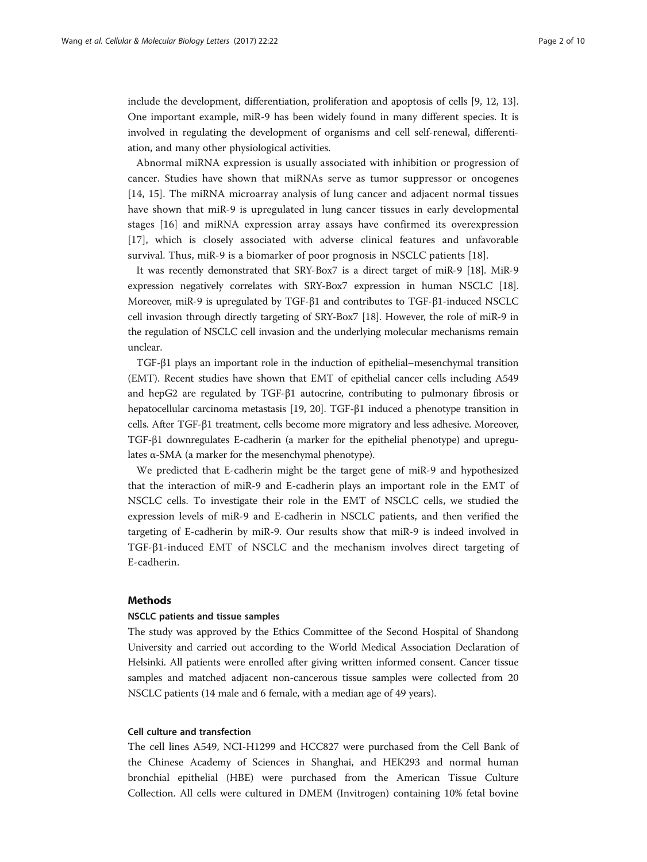include the development, differentiation, proliferation and apoptosis of cells [\[9, 12](#page-8-0), [13](#page-8-0)]. One important example, miR-9 has been widely found in many different species. It is involved in regulating the development of organisms and cell self-renewal, differentiation, and many other physiological activities.

Abnormal miRNA expression is usually associated with inhibition or progression of cancer. Studies have shown that miRNAs serve as tumor suppressor or oncogenes [[14, 15\]](#page-8-0). The miRNA microarray analysis of lung cancer and adjacent normal tissues have shown that miR-9 is upregulated in lung cancer tissues in early developmental stages [\[16](#page-8-0)] and miRNA expression array assays have confirmed its overexpression [[17\]](#page-8-0), which is closely associated with adverse clinical features and unfavorable survival. Thus, miR-9 is a biomarker of poor prognosis in NSCLC patients [\[18\]](#page-8-0).

It was recently demonstrated that SRY-Box7 is a direct target of miR-9 [[18\]](#page-8-0). MiR-9 expression negatively correlates with SRY-Box7 expression in human NSCLC [[18](#page-8-0)]. Moreover, miR-9 is upregulated by TGF-β1 and contributes to TGF-β1-induced NSCLC cell invasion through directly targeting of SRY-Box7 [\[18](#page-8-0)]. However, the role of miR-9 in the regulation of NSCLC cell invasion and the underlying molecular mechanisms remain unclear.

TGF-β1 plays an important role in the induction of epithelial–mesenchymal transition (EMT). Recent studies have shown that EMT of epithelial cancer cells including A549 and hepG2 are regulated by TGF-β1 autocrine, contributing to pulmonary fibrosis or hepatocellular carcinoma metastasis [\[19, 20](#page-8-0)]. TGF-β1 induced a phenotype transition in cells. After TGF-β1 treatment, cells become more migratory and less adhesive. Moreover, TGF-β1 downregulates E-cadherin (a marker for the epithelial phenotype) and upregulates α-SMA (a marker for the mesenchymal phenotype).

We predicted that E-cadherin might be the target gene of miR-9 and hypothesized that the interaction of miR-9 and E-cadherin plays an important role in the EMT of NSCLC cells. To investigate their role in the EMT of NSCLC cells, we studied the expression levels of miR-9 and E-cadherin in NSCLC patients, and then verified the targeting of E-cadherin by miR-9. Our results show that miR-9 is indeed involved in TGF-β1-induced EMT of NSCLC and the mechanism involves direct targeting of E-cadherin.

# Methods

## NSCLC patients and tissue samples

The study was approved by the Ethics Committee of the Second Hospital of Shandong University and carried out according to the World Medical Association Declaration of Helsinki. All patients were enrolled after giving written informed consent. Cancer tissue samples and matched adjacent non-cancerous tissue samples were collected from 20 NSCLC patients (14 male and 6 female, with a median age of 49 years).

## Cell culture and transfection

The cell lines A549, NCI-H1299 and HCC827 were purchased from the Cell Bank of the Chinese Academy of Sciences in Shanghai, and HEK293 and normal human bronchial epithelial (HBE) were purchased from the American Tissue Culture Collection. All cells were cultured in DMEM (Invitrogen) containing 10% fetal bovine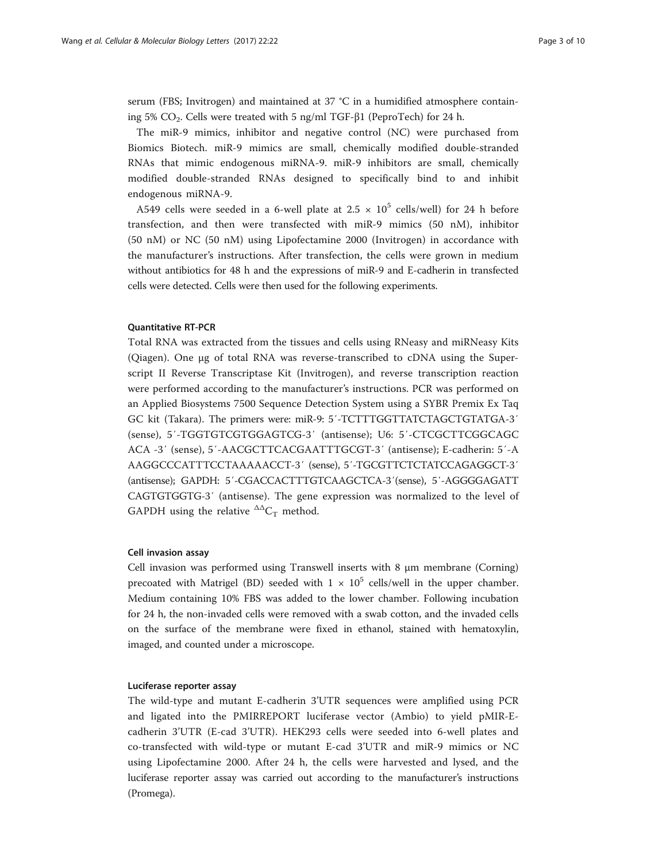serum (FBS; Invitrogen) and maintained at 37 °C in a humidified atmosphere containing 5% CO<sub>2</sub>. Cells were treated with 5 ng/ml TGF-β1 (PeproTech) for 24 h.

The miR-9 mimics, inhibitor and negative control (NC) were purchased from Biomics Biotech. miR-9 mimics are small, chemically modified double-stranded RNAs that mimic endogenous miRNA-9. miR-9 inhibitors are small, chemically modified double-stranded RNAs designed to specifically bind to and inhibit endogenous miRNA-9.

A549 cells were seeded in a 6-well plate at  $2.5 \times 10^5$  cells/well) for 24 h before transfection, and then were transfected with miR-9 mimics (50 nM), inhibitor (50 nM) or NC (50 nM) using Lipofectamine 2000 (Invitrogen) in accordance with the manufacturer's instructions. After transfection, the cells were grown in medium without antibiotics for 48 h and the expressions of miR-9 and E-cadherin in transfected cells were detected. Cells were then used for the following experiments.

#### Quantitative RT-PCR

Total RNA was extracted from the tissues and cells using RNeasy and miRNeasy Kits (Qiagen). One μg of total RNA was reverse-transcribed to cDNA using the Superscript II Reverse Transcriptase Kit (Invitrogen), and reverse transcription reaction were performed according to the manufacturer's instructions. PCR was performed on an Applied Biosystems 7500 Sequence Detection System using a SYBR Premix Ex Taq GC kit (Takara). The primers were: miR-9: 5′-TCTTTGGTTATCTAGCTGTATGA-3′ (sense), 5′-TGGTGTCGTGGAGTCG-3′ (antisense); U6: 5′-CTCGCTTCGGCAGC ACA -3′ (sense), 5′-AACGCTTCACGAATTTGCGT-3′ (antisense); E-cadherin: 5′-A AAGGCCCATTTCCTAAAAACCT-3′ (sense), 5′-TGCGTTCTCTATCCAGAGGCT-3′ (antisense); GAPDH: 5′-CGACCACTTTGTCAAGCTCA-3′(sense), 5′-AGGGGAGATT CAGTGTGGTG-3′ (antisense). The gene expression was normalized to the level of GAPDH using the relative  ${}^{\Delta\Delta}C_T$  method.

#### Cell invasion assay

Cell invasion was performed using Transwell inserts with 8 μm membrane (Corning) precoated with Matrigel (BD) seeded with  $1 \times 10^5$  cells/well in the upper chamber. Medium containing 10% FBS was added to the lower chamber. Following incubation for 24 h, the non-invaded cells were removed with a swab cotton, and the invaded cells on the surface of the membrane were fixed in ethanol, stained with hematoxylin, imaged, and counted under a microscope.

#### Luciferase reporter assay

The wild-type and mutant E-cadherin 3'UTR sequences were amplified using PCR and ligated into the PMIRREPORT luciferase vector (Ambio) to yield pMIR-Ecadherin 3'UTR (E-cad 3'UTR). HEK293 cells were seeded into 6-well plates and co-transfected with wild-type or mutant E-cad 3'UTR and miR-9 mimics or NC using Lipofectamine 2000. After 24 h, the cells were harvested and lysed, and the luciferase reporter assay was carried out according to the manufacturer's instructions (Promega).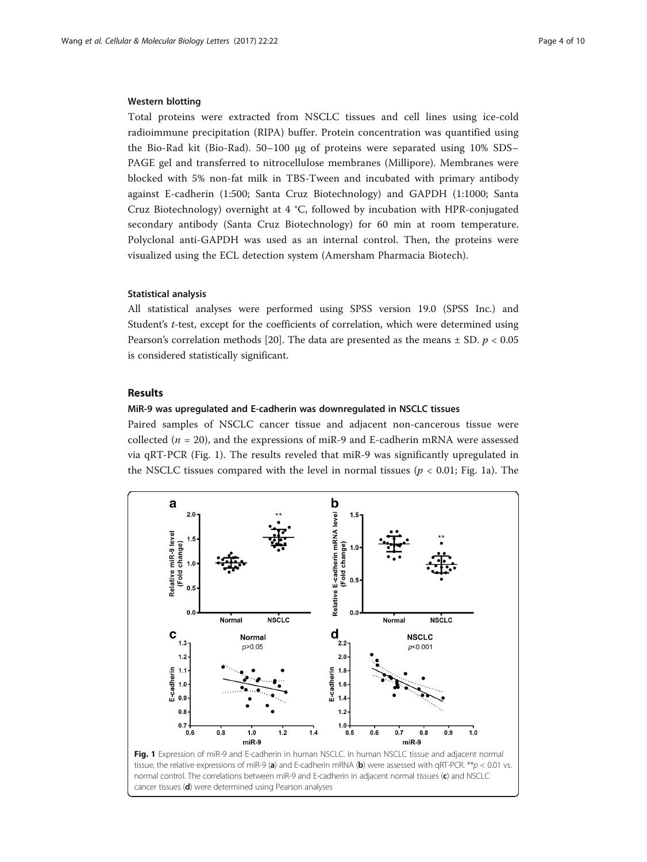#### <span id="page-3-0"></span>Western blotting

Total proteins were extracted from NSCLC tissues and cell lines using ice-cold radioimmune precipitation (RIPA) buffer. Protein concentration was quantified using the Bio-Rad kit (Bio-Rad). 50–100 μg of proteins were separated using 10% SDS– PAGE gel and transferred to nitrocellulose membranes (Millipore). Membranes were blocked with 5% non-fat milk in TBS-Tween and incubated with primary antibody against E-cadherin (1:500; Santa Cruz Biotechnology) and GAPDH (1:1000; Santa Cruz Biotechnology) overnight at 4 °C, followed by incubation with HPR-conjugated secondary antibody (Santa Cruz Biotechnology) for 60 min at room temperature. Polyclonal anti-GAPDH was used as an internal control. Then, the proteins were visualized using the ECL detection system (Amersham Pharmacia Biotech).

## Statistical analysis

All statistical analyses were performed using SPSS version 19.0 (SPSS Inc.) and Student's t-test, except for the coefficients of correlation, which were determined using Pearson's correlation methods [[20\]](#page-8-0). The data are presented as the means  $\pm$  SD.  $p < 0.05$ is considered statistically significant.

## Results

## MiR-9 was upregulated and E-cadherin was downregulated in NSCLC tissues

Paired samples of NSCLC cancer tissue and adjacent non-cancerous tissue were collected ( $n = 20$ ), and the expressions of miR-9 and E-cadherin mRNA were assessed via qRT-PCR (Fig. 1). The results reveled that miR-9 was significantly upregulated in the NSCLC tissues compared with the level in normal tissues ( $p < 0.01$ ; Fig. 1a). The

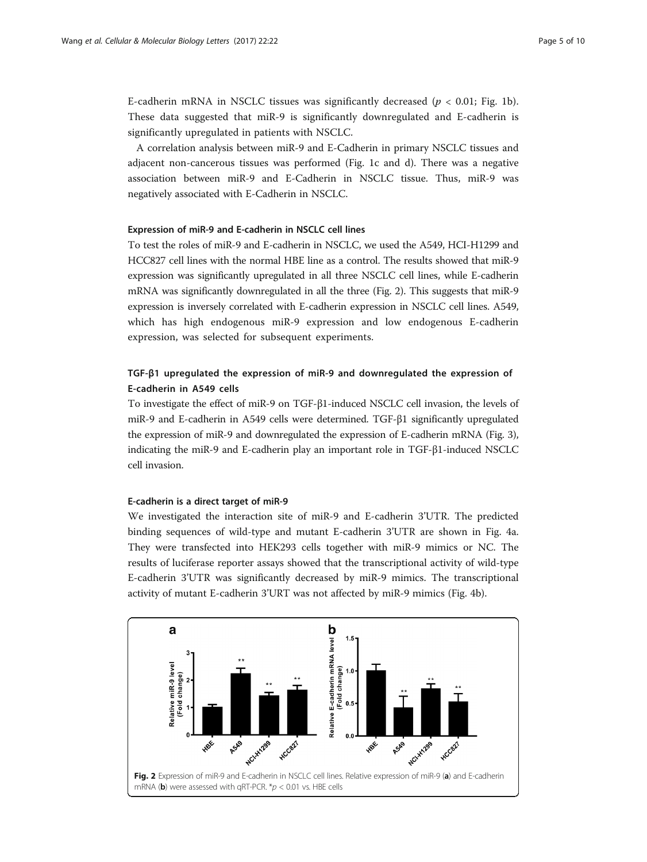E-cadherin mRNA in NSCLC tissues was significantly decreased ( $p < 0.01$ ; Fig. [1b](#page-3-0)). These data suggested that miR-9 is significantly downregulated and E-cadherin is significantly upregulated in patients with NSCLC.

A correlation analysis between miR-9 and E-Cadherin in primary NSCLC tissues and adjacent non-cancerous tissues was performed (Fig. [1c](#page-3-0) and [d\)](#page-3-0). There was a negative association between miR-9 and E-Cadherin in NSCLC tissue. Thus, miR-9 was negatively associated with E-Cadherin in NSCLC.

#### Expression of miR-9 and E-cadherin in NSCLC cell lines

To test the roles of miR-9 and E-cadherin in NSCLC, we used the A549, HCI-H1299 and HCC827 cell lines with the normal HBE line as a control. The results showed that miR-9 expression was significantly upregulated in all three NSCLC cell lines, while E-cadherin mRNA was significantly downregulated in all the three (Fig. 2). This suggests that miR-9 expression is inversely correlated with E-cadherin expression in NSCLC cell lines. A549, which has high endogenous miR-9 expression and low endogenous E-cadherin expression, was selected for subsequent experiments.

# TGF-β1 upregulated the expression of miR-9 and downregulated the expression of E-cadherin in A549 cells

To investigate the effect of miR-9 on TGF-β1-induced NSCLC cell invasion, the levels of miR-9 and E-cadherin in A549 cells were determined. TGF-β1 significantly upregulated the expression of miR-9 and downregulated the expression of E-cadherin mRNA (Fig. [3](#page-5-0)), indicating the miR-9 and E-cadherin play an important role in TGF-β1-induced NSCLC cell invasion.

## E-cadherin is a direct target of miR-9

We investigated the interaction site of miR-9 and E-cadherin 3'UTR. The predicted binding sequences of wild-type and mutant E-cadherin 3'UTR are shown in Fig. [4a](#page-5-0). They were transfected into HEK293 cells together with miR-9 mimics or NC. The results of luciferase reporter assays showed that the transcriptional activity of wild-type E-cadherin 3'UTR was significantly decreased by miR-9 mimics. The transcriptional activity of mutant E-cadherin 3'URT was not affected by miR-9 mimics (Fig. [4b](#page-5-0)).

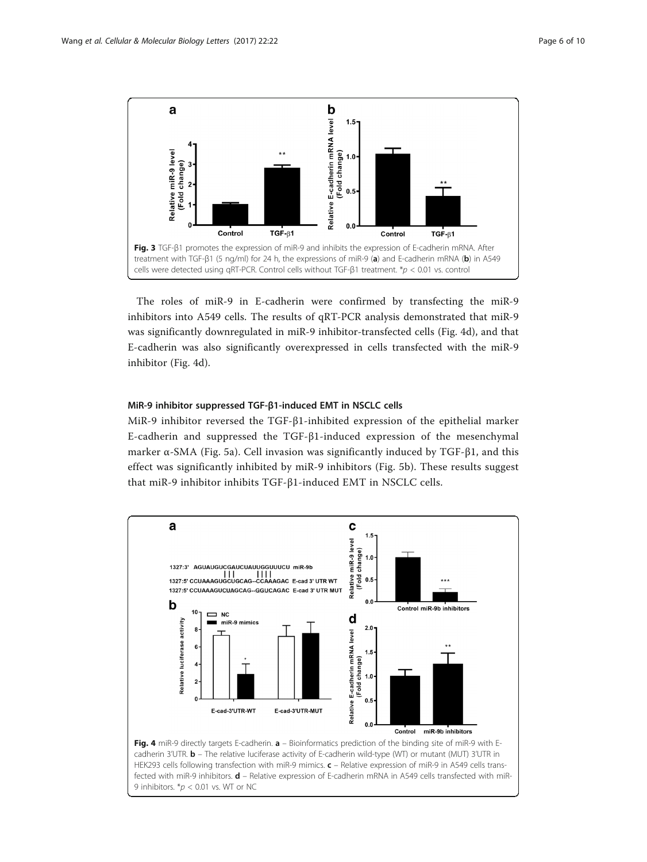<span id="page-5-0"></span>

The roles of miR-9 in E-cadherin were confirmed by transfecting the miR-9 inhibitors into A549 cells. The results of qRT-PCR analysis demonstrated that miR-9 was significantly downregulated in miR-9 inhibitor-transfected cells (Fig. 4d), and that E-cadherin was also significantly overexpressed in cells transfected with the miR-9 inhibitor (Fig. 4d).

## MiR-9 inhibitor suppressed TGF-β1-induced EMT in NSCLC cells

MiR-9 inhibitor reversed the TGF-β1-inhibited expression of the epithelial marker E-cadherin and suppressed the TGF-β1-induced expression of the mesenchymal marker α-SMA (Fig. [5a\)](#page-6-0). Cell invasion was significantly induced by TGF-β1, and this effect was significantly inhibited by miR-9 inhibitors (Fig. [5b\)](#page-6-0). These results suggest that miR-9 inhibitor inhibits TGF-β1-induced EMT in NSCLC cells.

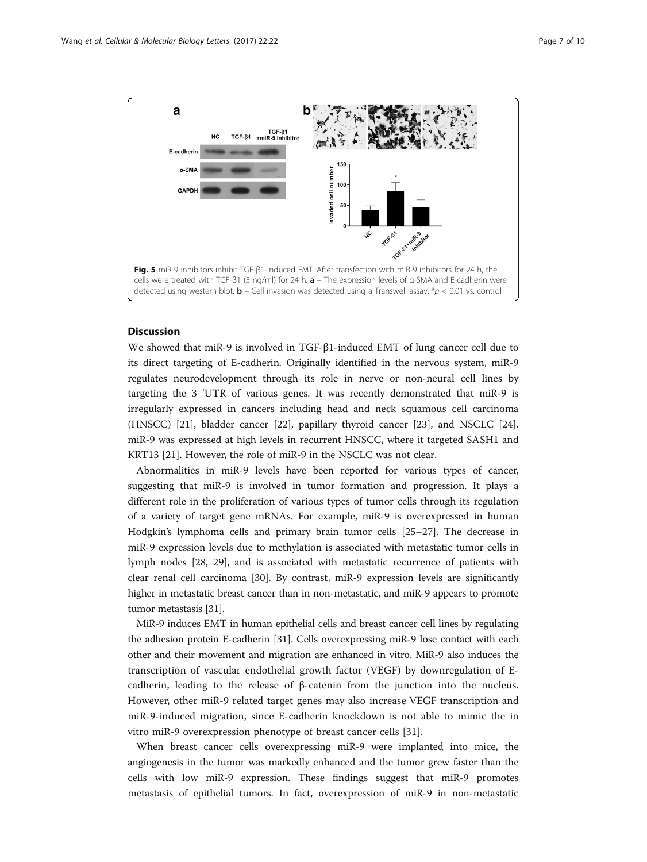<span id="page-6-0"></span>

# Discussion

We showed that miR-9 is involved in TGF-β1-induced EMT of lung cancer cell due to its direct targeting of E-cadherin. Originally identified in the nervous system, miR-9 regulates neurodevelopment through its role in nerve or non-neural cell lines by targeting the 3 'UTR of various genes. It was recently demonstrated that miR-9 is irregularly expressed in cancers including head and neck squamous cell carcinoma (HNSCC) [\[21](#page-8-0)], bladder cancer [\[22](#page-8-0)], papillary thyroid cancer [[23](#page-8-0)], and NSCLC [[24](#page-8-0)]. miR-9 was expressed at high levels in recurrent HNSCC, where it targeted SASH1 and KRT13 [[21](#page-8-0)]. However, the role of miR-9 in the NSCLC was not clear.

Abnormalities in miR-9 levels have been reported for various types of cancer, suggesting that miR-9 is involved in tumor formation and progression. It plays a different role in the proliferation of various types of tumor cells through its regulation of a variety of target gene mRNAs. For example, miR-9 is overexpressed in human Hodgkin's lymphoma cells and primary brain tumor cells [\[25](#page-8-0)–[27\]](#page-8-0). The decrease in miR-9 expression levels due to methylation is associated with metastatic tumor cells in lymph nodes [[28,](#page-8-0) [29](#page-9-0)], and is associated with metastatic recurrence of patients with clear renal cell carcinoma [[30](#page-9-0)]. By contrast, miR-9 expression levels are significantly higher in metastatic breast cancer than in non-metastatic, and miR-9 appears to promote tumor metastasis [[31\]](#page-9-0).

MiR-9 induces EMT in human epithelial cells and breast cancer cell lines by regulating the adhesion protein E-cadherin [[31\]](#page-9-0). Cells overexpressing miR-9 lose contact with each other and their movement and migration are enhanced in vitro. MiR-9 also induces the transcription of vascular endothelial growth factor (VEGF) by downregulation of Ecadherin, leading to the release of β-catenin from the junction into the nucleus. However, other miR-9 related target genes may also increase VEGF transcription and miR-9-induced migration, since E-cadherin knockdown is not able to mimic the in vitro miR-9 overexpression phenotype of breast cancer cells [[31\]](#page-9-0).

When breast cancer cells overexpressing miR-9 were implanted into mice, the angiogenesis in the tumor was markedly enhanced and the tumor grew faster than the cells with low miR-9 expression. These findings suggest that miR-9 promotes metastasis of epithelial tumors. In fact, overexpression of miR-9 in non-metastatic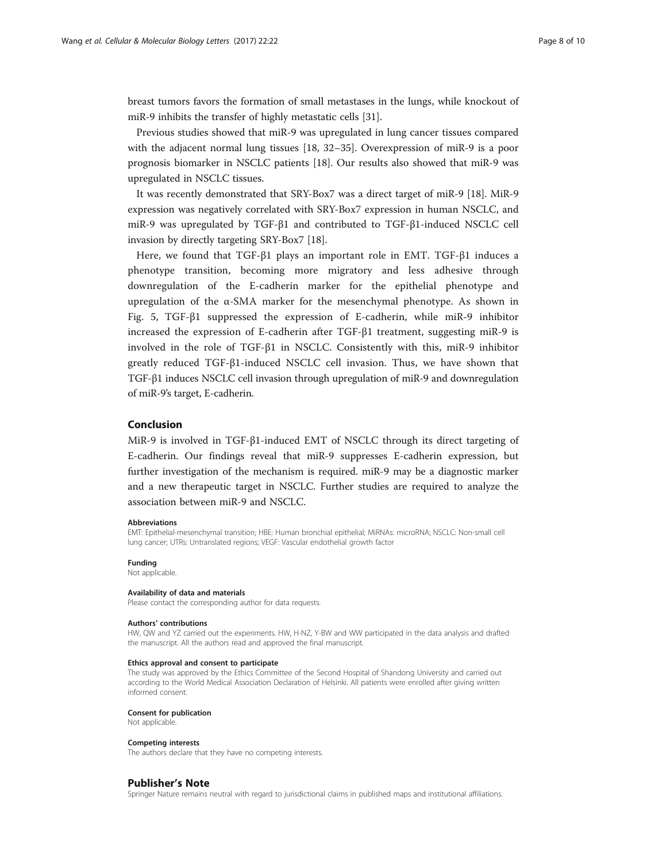breast tumors favors the formation of small metastases in the lungs, while knockout of miR-9 inhibits the transfer of highly metastatic cells [[31\]](#page-9-0).

Previous studies showed that miR-9 was upregulated in lung cancer tissues compared with the adjacent normal lung tissues [\[18,](#page-8-0) [32](#page-9-0)–[35](#page-9-0)]. Overexpression of miR-9 is a poor prognosis biomarker in NSCLC patients [\[18](#page-8-0)]. Our results also showed that miR-9 was upregulated in NSCLC tissues.

It was recently demonstrated that SRY-Box7 was a direct target of miR-9 [\[18](#page-8-0)]. MiR-9 expression was negatively correlated with SRY-Box7 expression in human NSCLC, and miR-9 was upregulated by TGF-β1 and contributed to TGF-β1-induced NSCLC cell invasion by directly targeting SRY-Box7 [\[18\]](#page-8-0).

Here, we found that TGF-β1 plays an important role in EMT. TGF-β1 induces a phenotype transition, becoming more migratory and less adhesive through downregulation of the E-cadherin marker for the epithelial phenotype and upregulation of the α-SMA marker for the mesenchymal phenotype. As shown in Fig. [5,](#page-6-0) TGF-β1 suppressed the expression of E-cadherin, while miR-9 inhibitor increased the expression of E-cadherin after TGF-β1 treatment, suggesting miR-9 is involved in the role of TGF-β1 in NSCLC. Consistently with this, miR-9 inhibitor greatly reduced TGF-β1-induced NSCLC cell invasion. Thus, we have shown that TGF-β1 induces NSCLC cell invasion through upregulation of miR-9 and downregulation of miR-9's target, E-cadherin.

#### Conclusion

MiR-9 is involved in TGF-β1-induced EMT of NSCLC through its direct targeting of E-cadherin. Our findings reveal that miR-9 suppresses E-cadherin expression, but further investigation of the mechanism is required. miR-9 may be a diagnostic marker and a new therapeutic target in NSCLC. Further studies are required to analyze the association between miR-9 and NSCLC.

#### Abbreviations

EMT: Epithelial-mesenchymal transition; HBE: Human bronchial epithelial; MiRNAs: microRNA; NSCLC: Non-small cell lung cancer; UTRs: Untranslated regions; VEGF: Vascular endothelial growth factor

#### Funding

Not applicable.

#### Availability of data and materials

Please contact the corresponding author for data requests.

#### Authors' contributions

HW, QW and YZ carried out the experiments. HW, H-NZ, Y-BW and WW participated in the data analysis and drafted the manuscript. All the authors read and approved the final manuscript.

#### Ethics approval and consent to participate

The study was approved by the Ethics Committee of the Second Hospital of Shandong University and carried out according to the World Medical Association Declaration of Helsinki. All patients were enrolled after giving written informed consent.

#### Consent for publication

Not applicable.

#### Competing interests

The authors declare that they have no competing interests.

#### Publisher's Note

Springer Nature remains neutral with regard to jurisdictional claims in published maps and institutional affiliations.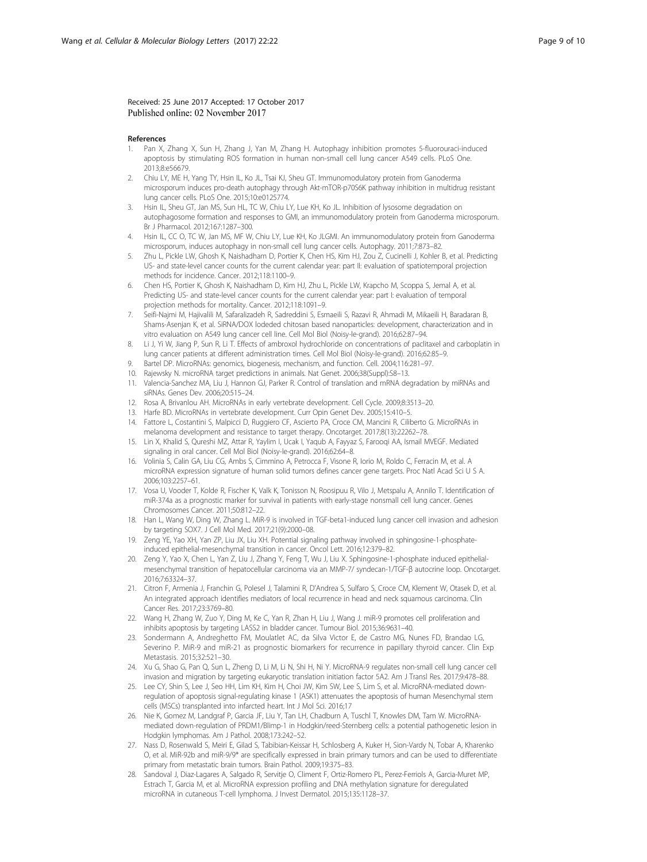<span id="page-8-0"></span>Received: 25 June 2017 Accepted: 17 October 2017 Published online: 02 November 2017

#### References

- 1. Pan X, Zhang X, Sun H, Zhang J, Yan M, Zhang H. Autophagy inhibition promotes 5-fluorouraci-induced apoptosis by stimulating ROS formation in human non-small cell lung cancer A549 cells. PLoS One. 2013;8:e56679.
- 2. Chiu LY, ME H, Yang TY, Hsin IL, Ko JL, Tsai KJ, Sheu GT. Immunomodulatory protein from Ganoderma microsporum induces pro-death autophagy through Akt-mTOR-p70S6K pathway inhibition in multidrug resistant lung cancer cells. PLoS One. 2015;10:e0125774.
- 3. Hsin IL, Sheu GT, Jan MS, Sun HL, TC W, Chiu LY, Lue KH, Ko JL. Inhibition of lysosome degradation on autophagosome formation and responses to GMI, an immunomodulatory protein from Ganoderma microsporum. Br J Pharmacol. 2012;167:1287–300.
- 4. Hsin IL, CC O, TC W, Jan MS, MF W, Chiu LY, Lue KH, Ko JLGMI. An immunomodulatory protein from Ganoderma microsporum, induces autophagy in non-small cell lung cancer cells. Autophagy. 2011;7:873–82.
- 5. Zhu L, Pickle LW, Ghosh K, Naishadham D, Portier K, Chen HS, Kim HJ, Zou Z, Cucinelli J, Kohler B, et al. Predicting US- and state-level cancer counts for the current calendar year: part II: evaluation of spatiotemporal projection methods for incidence. Cancer. 2012;118:1100–9.
- 6. Chen HS, Portier K, Ghosh K, Naishadham D, Kim HJ, Zhu L, Pickle LW, Krapcho M, Scoppa S, Jemal A, et al. Predicting US- and state-level cancer counts for the current calendar year: part I: evaluation of temporal projection methods for mortality. Cancer. 2012;118:1091–9.
- 7. Seifi-Najmi M, Hajivalili M, Safaralizadeh R, Sadreddini S, Esmaeili S, Razavi R, Ahmadi M, Mikaeili H, Baradaran B, Shams-Asenjan K, et al. SiRNA/DOX lodeded chitosan based nanoparticles: development, characterization and in vitro evaluation on A549 lung cancer cell line. Cell Mol Biol (Noisy-le-grand). 2016;62:87–94.
- 8. Li J, Yi W, Jiang P, Sun R, Li T. Effects of ambroxol hydrochloride on concentrations of paclitaxel and carboplatin in lung cancer patients at different administration times. Cell Mol Biol (Noisy-le-grand). 2016;62:85–9.
- 9. Bartel DP. MicroRNAs: genomics, biogenesis, mechanism, and function. Cell. 2004;116:281–97.
- 10. Rajewsky N. microRNA target predictions in animals. Nat Genet. 2006;38(Suppl):S8–13.
- 11. Valencia-Sanchez MA, Liu J, Hannon GJ, Parker R. Control of translation and mRNA degradation by miRNAs and siRNAs. Genes Dev. 2006;20:515–24.
- 12. Rosa A, Brivanlou AH. MicroRNAs in early vertebrate development. Cell Cycle. 2009;8:3513–20.
- 13. Harfe BD. MicroRNAs in vertebrate development. Curr Opin Genet Dev. 2005;15:410–5.
- 14. Fattore L, Costantini S, Malpicci D, Ruggiero CF, Ascierto PA, Croce CM, Mancini R, Ciliberto G. MicroRNAs in melanoma development and resistance to target therapy. Oncotarget. 2017;8(13):22262–78.
- 15. Lin X, Khalid S, Qureshi MZ, Attar R, Yaylim I, Ucak I, Yaqub A, Fayyaz S, Farooqi AA, Ismail MVEGF. Mediated signaling in oral cancer. Cell Mol Biol (Noisy-le-grand). 2016;62:64–8.
- 16. Volinia S, Calin GA, Liu CG, Ambs S, Cimmino A, Petrocca F, Visone R, Iorio M, Roldo C, Ferracin M, et al. A microRNA expression signature of human solid tumors defines cancer gene targets. Proc Natl Acad Sci U S A. 2006;103:2257–61.
- 17. Vosa U, Vooder T, Kolde R, Fischer K, Valk K, Tonisson N, Roosipuu R, Vilo J, Metspalu A, Annilo T. Identification of miR-374a as a prognostic marker for survival in patients with early-stage nonsmall cell lung cancer. Genes Chromosomes Cancer. 2011;50:812–22.
- 18. Han L, Wang W, Ding W, Zhang L. MiR-9 is involved in TGF-beta1-induced lung cancer cell invasion and adhesion by targeting SOX7. J Cell Mol Med. 2017;21(9):2000–08.
- 19. Zeng YE, Yao XH, Yan ZP, Liu JX, Liu XH. Potential signaling pathway involved in sphingosine-1-phosphateinduced epithelial-mesenchymal transition in cancer. Oncol Lett. 2016;12:379–82.
- 20. Zeng Y, Yao X, Chen L, Yan Z, Liu J, Zhang Y, Feng T, Wu J, Liu X. Sphingosine-1-phosphate induced epithelialmesenchymal transition of hepatocellular carcinoma via an MMP-7/ syndecan-1/TGF-β autocrine loop. Oncotarget. 2016;7:63324–37.
- 21. Citron F, Armenia J, Franchin G, Polesel J, Talamini R, D'Andrea S, Sulfaro S, Croce CM, Klement W, Otasek D, et al. An integrated approach identifies mediators of local recurrence in head and neck squamous carcinoma. Clin Cancer Res. 2017;23:3769–80.
- 22. Wang H, Zhang W, Zuo Y, Ding M, Ke C, Yan R, Zhan H, Liu J, Wang J. miR-9 promotes cell proliferation and inhibits apoptosis by targeting LASS2 in bladder cancer. Tumour Biol. 2015;36:9631–40.
- 23. Sondermann A, Andreghetto FM, Moulatlet AC, da Silva Victor E, de Castro MG, Nunes FD, Brandao LG, Severino P. MiR-9 and miR-21 as prognostic biomarkers for recurrence in papillary thyroid cancer. Clin Exp Metastasis. 2015;32:521–30.
- 24. Xu G, Shao G, Pan Q, Sun L, Zheng D, Li M, Li N, Shi H, Ni Y. MicroRNA-9 regulates non-small cell lung cancer cell invasion and migration by targeting eukaryotic translation initiation factor 5A2. Am J Transl Res. 2017;9:478–88.
- 25. Lee CY, Shin S, Lee J, Seo HH, Lim KH, Kim H, Choi JW, Kim SW, Lee S, Lim S, et al. MicroRNA-mediated downregulation of apoptosis signal-regulating kinase 1 (ASK1) attenuates the apoptosis of human Mesenchymal stem cells (MSCs) transplanted into infarcted heart. Int J Mol Sci. 2016;17
- 26. Nie K, Gomez M, Landgraf P, Garcia JF, Liu Y, Tan LH, Chadburn A, Tuschl T, Knowles DM, Tam W. MicroRNAmediated down-regulation of PRDM1/Blimp-1 in Hodgkin/reed-Sternberg cells: a potential pathogenetic lesion in Hodgkin lymphomas. Am J Pathol. 2008;173:242–52.
- 27. Nass D, Rosenwald S, Meiri E, Gilad S, Tabibian-Keissar H, Schlosberg A, Kuker H, Sion-Vardy N, Tobar A, Kharenko O, et al. MiR-92b and miR-9/9\* are specifically expressed in brain primary tumors and can be used to differentiate primary from metastatic brain tumors. Brain Pathol. 2009;19:375–83.
- 28. Sandoval J, Diaz-Lagares A, Salgado R, Servitje O, Climent F, Ortiz-Romero PL, Perez-Ferriols A, Garcia-Muret MP, Estrach T, Garcia M, et al. MicroRNA expression profiling and DNA methylation signature for deregulated microRNA in cutaneous T-cell lymphoma. J Invest Dermatol. 2015;135:1128–37.